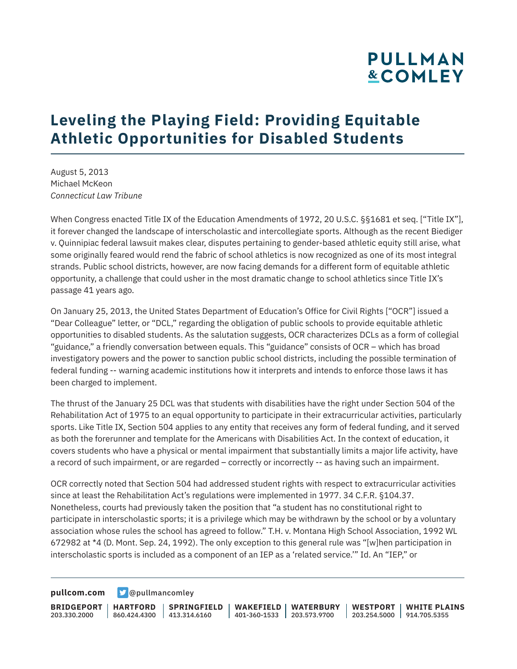## **Leveling the Playing Field: Providing Equitable Athletic Opportunities for Disabled Students**

August 5, 2013 Michael McKeon *Connecticut Law Tribune*

When Congress enacted Title IX of the Education Amendments of 1972, 20 U.S.C. §§1681 et seq. ["Title IX"], it forever changed the landscape of interscholastic and intercollegiate sports. Although as the recent Biediger v. Quinnipiac federal lawsuit makes clear, disputes pertaining to gender-based athletic equity still arise, what some originally feared would rend the fabric of school athletics is now recognized as one of its most integral strands. Public school districts, however, are now facing demands for a different form of equitable athletic opportunity, a challenge that could usher in the most dramatic change to school athletics since Title IX's passage 41 years ago.

On January 25, 2013, the United States Department of Education's Office for Civil Rights ["OCR"] issued a "Dear Colleague" letter, or "DCL," regarding the obligation of public schools to provide equitable athletic opportunities to disabled students. As the salutation suggests, OCR characterizes DCLs as a form of collegial "guidance," a friendly conversation between equals. This "guidance" consists of OCR – which has broad investigatory powers and the power to sanction public school districts, including the possible termination of federal funding -- warning academic institutions how it interprets and intends to enforce those laws it has been charged to implement.

The thrust of the January 25 DCL was that students with disabilities have the right under Section 504 of the Rehabilitation Act of 1975 to an equal opportunity to participate in their extracurricular activities, particularly sports. Like Title IX, Section 504 applies to any entity that receives any form of federal funding, and it served as both the forerunner and template for the Americans with Disabilities Act. In the context of education, it covers students who have a physical or mental impairment that substantially limits a major life activity, have a record of such impairment, or are regarded – correctly or incorrectly -- as having such an impairment.

OCR correctly noted that Section 504 had addressed student rights with respect to extracurricular activities since at least the Rehabilitation Act's regulations were implemented in 1977. 34 C.F.R. §104.37. Nonetheless, courts had previously taken the position that "a student has no constitutional right to participate in interscholastic sports; it is a privilege which may be withdrawn by the school or by a voluntary association whose rules the school has agreed to follow." T.H. v. Montana High School Association, 1992 WL 672982 at \*4 (D. Mont. Sep. 24, 1992). The only exception to this general rule was "[w]hen participation in interscholastic sports is included as a component of an IEP as a 'related service.'" Id. An "IEP," or

**[pullcom.com](https://www.pullcom.com) g** [@pullmancomley](https://twitter.com/PullmanComley)

**BRIDGEPORT** 203.330.2000 **HARTFORD** 860.424.4300 413.314.6160 **SPRINGFIELD WAKEFIELD WATERBURY** 401-360-1533 203.573.9700 **WESTPORT WHITE PLAINS** 203.254.5000 914.705.5355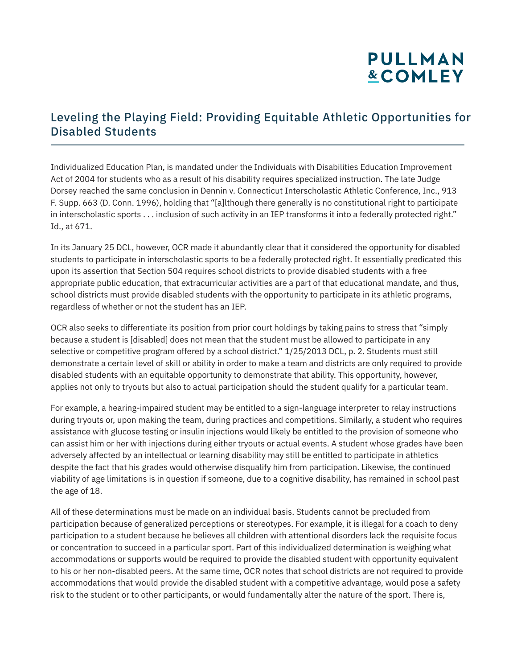#### Leveling the Playing Field: Providing Equitable Athletic Opportunities for Disabled Students

Individualized Education Plan, is mandated under the Individuals with Disabilities Education Improvement Act of 2004 for students who as a result of his disability requires specialized instruction. The late Judge Dorsey reached the same conclusion in Dennin v. Connecticut Interscholastic Athletic Conference, Inc., 913 F. Supp. 663 (D. Conn. 1996), holding that "[a]lthough there generally is no constitutional right to participate in interscholastic sports . . . inclusion of such activity in an IEP transforms it into a federally protected right." Id., at 671.

In its January 25 DCL, however, OCR made it abundantly clear that it considered the opportunity for disabled students to participate in interscholastic sports to be a federally protected right. It essentially predicated this upon its assertion that Section 504 requires school districts to provide disabled students with a free appropriate public education, that extracurricular activities are a part of that educational mandate, and thus, school districts must provide disabled students with the opportunity to participate in its athletic programs, regardless of whether or not the student has an IEP.

OCR also seeks to differentiate its position from prior court holdings by taking pains to stress that "simply because a student is [disabled] does not mean that the student must be allowed to participate in any selective or competitive program offered by a school district." 1/25/2013 DCL, p. 2. Students must still demonstrate a certain level of skill or ability in order to make a team and districts are only required to provide disabled students with an equitable opportunity to demonstrate that ability. This opportunity, however, applies not only to tryouts but also to actual participation should the student qualify for a particular team.

For example, a hearing-impaired student may be entitled to a sign-language interpreter to relay instructions during tryouts or, upon making the team, during practices and competitions. Similarly, a student who requires assistance with glucose testing or insulin injections would likely be entitled to the provision of someone who can assist him or her with injections during either tryouts or actual events. A student whose grades have been adversely affected by an intellectual or learning disability may still be entitled to participate in athletics despite the fact that his grades would otherwise disqualify him from participation. Likewise, the continued viability of age limitations is in question if someone, due to a cognitive disability, has remained in school past the age of 18.

All of these determinations must be made on an individual basis. Students cannot be precluded from participation because of generalized perceptions or stereotypes. For example, it is illegal for a coach to deny participation to a student because he believes all children with attentional disorders lack the requisite focus or concentration to succeed in a particular sport. Part of this individualized determination is weighing what accommodations or supports would be required to provide the disabled student with opportunity equivalent to his or her non-disabled peers. At the same time, OCR notes that school districts are not required to provide accommodations that would provide the disabled student with a competitive advantage, would pose a safety risk to the student or to other participants, or would fundamentally alter the nature of the sport. There is,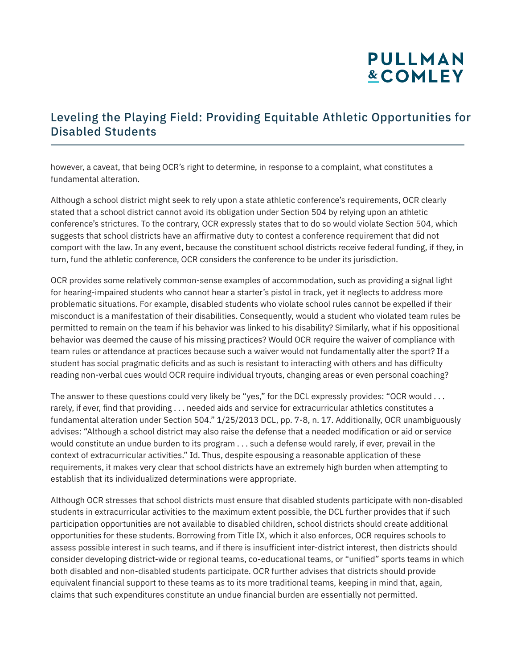### Leveling the Playing Field: Providing Equitable Athletic Opportunities for Disabled Students

however, a caveat, that being OCR's right to determine, in response to a complaint, what constitutes a fundamental alteration.

Although a school district might seek to rely upon a state athletic conference's requirements, OCR clearly stated that a school district cannot avoid its obligation under Section 504 by relying upon an athletic conference's strictures. To the contrary, OCR expressly states that to do so would violate Section 504, which suggests that school districts have an affirmative duty to contest a conference requirement that did not comport with the law. In any event, because the constituent school districts receive federal funding, if they, in turn, fund the athletic conference, OCR considers the conference to be under its jurisdiction.

OCR provides some relatively common-sense examples of accommodation, such as providing a signal light for hearing-impaired students who cannot hear a starter's pistol in track, yet it neglects to address more problematic situations. For example, disabled students who violate school rules cannot be expelled if their misconduct is a manifestation of their disabilities. Consequently, would a student who violated team rules be permitted to remain on the team if his behavior was linked to his disability? Similarly, what if his oppositional behavior was deemed the cause of his missing practices? Would OCR require the waiver of compliance with team rules or attendance at practices because such a waiver would not fundamentally alter the sport? If a student has social pragmatic deficits and as such is resistant to interacting with others and has difficulty reading non-verbal cues would OCR require individual tryouts, changing areas or even personal coaching?

The answer to these questions could very likely be "yes," for the DCL expressly provides: "OCR would . . . rarely, if ever, find that providing . . . needed aids and service for extracurricular athletics constitutes a fundamental alteration under Section 504." 1/25/2013 DCL, pp. 7-8, n. 17. Additionally, OCR unambiguously advises: "Although a school district may also raise the defense that a needed modification or aid or service would constitute an undue burden to its program . . . such a defense would rarely, if ever, prevail in the context of extracurricular activities." Id. Thus, despite espousing a reasonable application of these requirements, it makes very clear that school districts have an extremely high burden when attempting to establish that its individualized determinations were appropriate.

Although OCR stresses that school districts must ensure that disabled students participate with non-disabled students in extracurricular activities to the maximum extent possible, the DCL further provides that if such participation opportunities are not available to disabled children, school districts should create additional opportunities for these students. Borrowing from Title IX, which it also enforces, OCR requires schools to assess possible interest in such teams, and if there is insufficient inter-district interest, then districts should consider developing district-wide or regional teams, co-educational teams, or "unified" sports teams in which both disabled and non-disabled students participate. OCR further advises that districts should provide equivalent financial support to these teams as to its more traditional teams, keeping in mind that, again, claims that such expenditures constitute an undue financial burden are essentially not permitted.